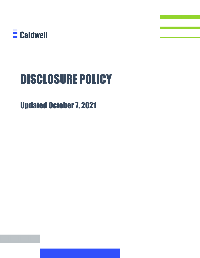

# DISCLOSURE POLICY

Updated October 7, 2021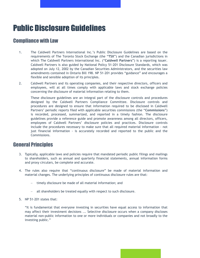## Public Disclosure Guidelines

### Compliance with Law

- 1. The Caldwell Partners International Inc.'s Public Disclosure Guidelines are based on the requirements of The Toronto Stock Exchange (the "**TSX**") and the Canadian jurisdictions in which The Caldwell Partners International Inc. ("**Caldwell Partners**") is a reporting issuer. Caldwell Partners is also guided by National Policy 51-201 Disclosure Standards, which was adopted on July 12, 2002 by the Canadian Securities Administrators, and the securities law amendments contained in Ontario Bill 198. NP 51-201 provides "guidance" and encourages a flexible and sensible adoption of its principles.
- 2. Caldwell Partners and its operating companies, and their respective directors, officers and employees, will at all times comply with applicable laws and stock exchange policies concerning the disclosure of material information relating to them.

These disclosure guidelines are an integral part of the disclosure controls and procedures designed by the Caldwell Partners Compliance Committee. Disclosure controls and procedures are designed to ensure that information required to be disclosed in Caldwell Partners' periodic reports filed with applicable securities commissions (the "**Commissions**") is recorded, processed, summarized, and reported in a timely fashion. The disclosure guidelines provide a reference guide and promote awareness among all directors, officers, employees of Caldwell Partners' disclosure policies and practices. Disclosure controls include the procedures necessary to make sure that all required material information - not just financial information - is accurately recorded and reported to the public and the Commissions.

#### General Principles

- 3. Typically, applicable laws and policies require that mandated periodic public filings and mailings to shareholders, such as annual and quarterly financial statements, annual information forms and proxy circulars, be complete and accurate.
- 4. The rules also require that "continuous disclosure" be made of material information and material changes. The underlying principles of continuous disclosure rules are that:
	- − timely disclosure be made of all material information; and
	- − all shareholders be treated equally with respect to such disclosure.
- 5. NP 51-201 states that:

"It is fundamental that everyone investing in securities have equal access to information that may affect their investment decisions ... Selective disclosure occurs when a company discloses material non-public information to one or more individuals or companies and not broadly to the investing public."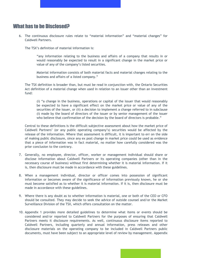#### What has to be Disclosed?

6. The continuous disclosure rules relate to "material information" and "material changes" for Caldwell Partners.

The TSX's definition of material information is:

"any information relating to the business and affairs of a company that results in or would reasonably be expected to result in a significant change in the market price or value of any of the company's listed securities.

Material information consists of both material facts and material changes relating to the business and affairs of a listed company."

The TSX definition is broader than, but must be read in conjunction with, the Ontario Securities Act definition of a material change when used in relation to an issuer other than an investment fund:

(i) "a change in the business, operations or capital of the issuer that would reasonably be expected to have a significant effect on the market price or value of any of the securities of the issuer, or (ii) a decision to implement a change referred to in subclause (i) made by the board of directors of the issuer or by senior management of the issuer who believe that confirmation of the decision by the board of directors is probable."

Central to these definitions is the difficult subjective assessment about how the market price of Caldwell Partners' (or any public operating company's) securities would be affected by the release of the information. Where that assessment is difficult, it is important to err on the side of making public disclosure, since any ex post change in market price could be used as evidence that a piece of information was in fact material, no matter how carefully considered was the prior conclusion to the contrary.

- 7. Generally, no employee, director, officer, worker or management individual should share or disclose information about Caldwell Partners or its operating companies (other than in the necessary course of business) without first determining whether it is material information. If it is, then disclosure must be made in accordance with these guidelines.
- 8. When a management individual, director or officer comes into possession of significant information or becomes aware of the significance of information previously known, he or she must become satisfied as to whether it is material information. If it is, then disclosure must be made in accordance with these guidelines.
- 9. Where there is any doubt as to whether information is material, one or both of the CEO or CFO should be consulted. They may decide to seek the advice of outside counsel and/or the Market Surveillance Division of the TSX, which offers consultation on the matter.
- 10. Appendix 1 provides more detailed guidelines to determine what items or events should be considered and/or reported to Caldwell Partners for the purposes of ensuring that Caldwell Partners meets it disclosure requirements. As well, continuous disclosure items reported to Caldwell Partners, including quarterly and annual information, press releases and other disclosure materials on the operating company to be included in Caldwell Partners public documents, must have been subject to an appropriate level of review by management. Appendix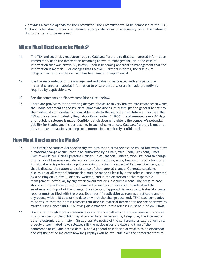2 provides a sample agenda for the Committee. The Committee would be composed of the CEO, CFO and other direct reports as deemed appropriate so as to adequately cover the nature of disclosure items to be reviewed.

#### When Must Disclosure be Made?

- 11. The TSX and securities regulators require Caldwell Partners to disclose material information immediately upon the information becoming known to management, or in the case of information that was previously known, upon it becoming apparent to management that the information is material. For changes that Caldwell Partners initiates, the disclosure obligation arises once the decision has been made to implement it.
- 12. It is the responsibility of the management individual(s) associated with any particular material change or material information to ensure that disclosure is made promptly as required by applicable law.
- 13. See the comments on "Inadvertent Disclosure" below.
- 14. There are provisions for permitting delayed disclosure in very limited circumstances in which the undue detriment to the issuer of immediate disclosure outweighs the general benefit to the market. A confidential filing must be made to the securities regulatory authorities, the TSX and Investment Industry Regulatory Organization ("**IIROC**"), and renewed every 10 days until public disclosure is made. Confidential disclosure heightens the company's potential liability for tipping and insider trading. In such circumstances, Caldwell Partners is under a duty to take precautions to keep such information completely confidential.

#### How Must Disclosure be Made?

- 15. The Ontario Securities Act specifically requires that a press release be issued forthwith after a material change occurs, that it be authorized by a Chair, Vice-Chair, President, Chief Executive Officer, Chief Operating Officer, Chief Financial Officer, Vice-President in charge of a principal business unit, division or function including sales, finance or production, or an individual who is performing a policy-making function in respect of Caldwell Partners, and that it disclose the nature and substance of the material change. Generally speaking, disclosure of all material information must be made at least by press release, supplemented by a posting on Caldwell Partners' website, and in the discretion of the responsible management individual, by any other concurrent or subsequent means. The press release should contain sufficient detail to enable the media and investors to understand the substance and import of the change. Consistency of approach is important. Material change reports must be filed with the prescribed fees (if applicable) as soon as practicable and in any event, within 10 days of the date on which the change occurred. TSX-listed companies must ensure that their press releases that disclose material information are pre-approved by Market Surveillance/IIROC. Following dissemination, press releases must be filed on SEDAR.
- 16. Disclosure through a press conference or conference call may constitute general disclosure if: (i) members of the public may attend or listen in person, by telephone, the internet or other electronic transmission; (ii) appropriate notice of the conference or call is given by a broadly disseminated news release; (iii) the notice gives the date and time of the conference or call and access details, and a general description of what is to be discussed; and (iv) the notice indicates how long replays will be available over the corporate website.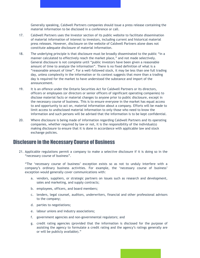Generally speaking, Caldwell Partners companies should issue a press release containing the material information to be disclosed in a conference or call.

- 17. Caldwell Partners uses the Investor section of its public website to facilitate dissemination of material information of interest to investors, including current and historical material press releases. However, disclosure on the website of Caldwell Partners alone does not constitute adequate disclosure of material information.
- 18. The underlying principle is that disclosure must be broadly disseminated to the public "in a manner calculated to effectively reach the market place," and not made selectively. General disclosure is not complete until "public investors have been given a reasonable amount of time to analyze the information". There is no fixed definition of what is a "reasonable amount of time". For a well-followed stock, it may be less than one full trading day, unless complexity in the information or its context suggests that more than a trading day is required for the market to have understood the substance and import of the announcement.
- 19. It is an offence under the Ontario Securities Act for Caldwell Partners or its directors, officers or employees (or directors or senior officers of significant operating companies) to disclose material facts or material changes to anyone prior to public disclosure, except in the necessary course of business. This is to ensure everyone in the market has equal access to and opportunity to act on, material information about a company. Efforts will be made to limit access to undisclosed material information to only those who need to know the information and such persons will be advised that the information is to be kept confidential.
- 20. Where disclosure is being made of information regarding Caldwell Partners and its operating companies, whether required by law or not, it is the responsibility of the individual(s) making disclosure to ensure that it is done in accordance with applicable law and stock exchange policies.

#### Disclosure in the Necessary Course of Business

21. Applicable regulations permit a company to make a selective disclosure if it is doing so in the "necessary course of business".

"The 'necessary course of business' exception exists so as not to unduly interfere with a company's ordinary business activities. For example, the 'necessary course of business' exception would generally cover communications with:

- a. vendors, suppliers, or strategic partners on issues such as research and development, sales and marketing, and supply contracts;
- b. employees, officers, and board members;
- c. lenders, legal counsel, auditors, underwriters, financial and other professional advisors to the company;
- d. parties to negotiations;
- e. labour unions and industry associations;
- f. government agencies and non-governmental regulators; and
- g. credit rating agencies (provided that the information is disclosed for the purpose of assisting the agency to formulate a credit rating and the agency's ratings generally are or will be publicly available)."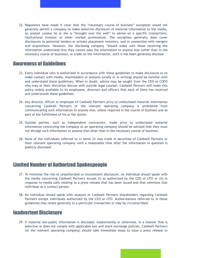22. Regulators have made it clear that the "necessary course of business" exception would not generally permit a company to make selective disclosure of material information to the media, an analyst (unless he or she is "brought over the wall" to advise on a specific transaction), institutional investor or other market professional. The exception generally does cover disclosures to potential lenders or private placement investors, and in connection with mergers and acquisitions. However, the disclosing company "should make sure those receiving the information understand that they cannot pass the information to anyone else (other than in the necessary course of business), or trade on the information, until it has been generally disclose:

#### Awareness of Guidelines

- 23. Every individual who is authorized in accordance with these guidelines to make disclosure or to make contact with media, shareholders or analysts (orally or in writing) should be familiar with and understand these guidelines. When in doubt, advice may be sought from the CEO or COFO who may at their discretion discuss with outside legal counsel. Caldwell Partners will make this policy widely available to its employees, directors and officers that each of them has received and understands these guidelines.
- 24. Any director, officer or employee of Caldwell Partners privy to undisclosed material information concerning Caldwell Partners or the relevant operating company is prohibited from communicating such information to anyone else, unless required in the course of business and as part of the fulfillment of his or her duties.
- 25. Outside parties, such as independent contractors, made privy to undisclosed material information concerning the company or an operating company should be advised that they must not divulge such information to anyone else other than in the necessary course of business.
- 26. None of the individuals referred to in items 23 may trade in securities of Caldwell Partners or their relevant operating company until a reasonable time after the information in question is publicly disclosed.

### Limited Number of Authorized Spokespeople

- 27. To minimize the risk of unauthorized or inconsistent disclosure, no individual should speak with the media concerning Caldwell Partners except (i) as authorized by the CEO or CFO or (ii) in response to media calls relating to a press release that has been issued and that mentions that individual as a contact person.
- 28. No individual should speak with analysts or Caldwell Partners shareholders regarding Caldwell Partners except individuals authorized by the CEO or CFO. Authorizations referred to in these guidelines may relate generally to a particular transaction or may be circumscribed.

#### Inadvertent Disclosure

29. If material non-public information is disclosed, inadvertently or otherwise, in a manner that is selective or does not comply with applicable law and stock exchange policies, Caldwell Partners (or the relevant operating company) should take immediate steps to issue a press release to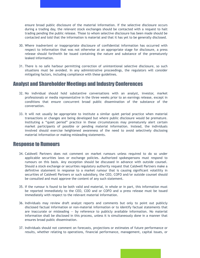ensure broad public disclosure of the material information. If the selective disclosure occurs during a trading day, the relevant stock exchanges should be contacted with a request to halt trading pending the public release. Those to whom selective disclosure has been made should be contacted and told that the information is material and that it has yet to be generally disclosed.

- 30. Where inadvertent or inappropriate disclosure of confidential information has occurred with respect to information that was not otherwise at an appropriate stage for disclosure, a press release should forthwith be issued containing the nature and substance of the prematurely leaked information.
- 31. There is no safe harbour permitting correction of unintentional selective disclosure, so such situations must be avoided. In any administrative proceedings, the regulators will consider mitigating factors, including compliance with these guidelines.

#### Analyst and Shareholder Meetings and Industry Conferences

- 32. No individual should hold substantive conversations with an analyst, investor, market professionals or media representative in the three weeks prior to an earnings release, except in conditions that ensure concurrent broad public dissemination of the substance of the conversation.
- 33. It will not usually be appropriate to institute a similar quiet period practice when material transactions or changes are being developed but where public disclosure would be premature. Instituting a "quiet period" practice in these circumstances may prematurely alert certain market participants of possible or pending material information. Instead, the individuals involved should exercise heightened awareness of the need to avoid selectively disclosing material information or making misleading statements.

#### Response to Rumours

- 34. Caldwell Partners does not comment on market rumours unless required to do so under applicable securities laws or exchange policies. Authorized spokespersons must respond to rumours on this basis. Any exception should be discussed in advance with outside counsel. Should a stock exchange or securities regulatory authority request that Caldwell Partners make a definitive statement in response to a market rumour that is causing significant volatility in securities of Caldwell Partners or such subsidiary, the CEO, COFO and/or outside counsel should be consulted and must approve the content of any such statement.
- 35. If the rumour is found to be both valid and material, in whole or in part, this information must be reported immediately to the CEO, COO and or COFO and a press release must be issued immediately with respect to the relevant material information.
- 36. Individuals may review draft analyst reports and comments but only to point out publicly disclosed factual information or non-material information or to identify factual statements that are inaccurate or misleading -- by reference to publicly available information. No material information shall be disclosed in this process, unless it is simultaneously done in a manner that ensures broad public dissemination.
- 37. Individuals should not comment on forecasts, projections or estimates of future performance or results, whether relating to operations, financial performance, management, capital issues, or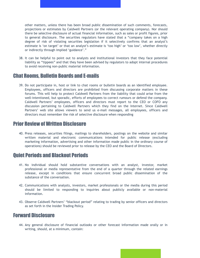other matters, unless there has been broad public dissemination of such comments, forecasts, projections or estimates by Caldwell Partners (or the relevant operating company). Nor should there be selective disclosure of actual financial information, such as sales or profit figures, prior to general disclosure. The securities regulators have stated that a "company takes on a high degree of risk of violating securities legislation if it selectively confirms that an analyst's estimate is 'on target' or that an analyst's estimate is 'too high' or 'too low', whether directly or indirectly through implied 'guidance'."

38. It can be helpful to point out to analysts and institutional investors that they face potential liability as "tippees" and that they have been advised by regulators to adopt internal procedures to avoid receiving non-public material information.

#### Chat Rooms, Bulletin Boards and E-mails

39. Do not participate in, host or link to chat rooms or bulletin boards as an identified employee. Employees, officers and directors are prohibited from discussing corporate matters in these forums. This will help to protect Caldwell Partners from the liability that could arise from the well-intentioned, but sporadic, efforts of employees to correct rumours or defend the company. Caldwell Partners' employees, officers and directors must report to the CEO or COFO any discussion pertaining to Caldwell Partners which they find on the Internet. Since Caldwell Partners' web site allows viewers to send us e-mail messages, all employees, officers and directors must remember the risk of selective disclosure when responding

#### Prior Review of Written Disclosure

40. Press releases, securities filings, mailings to shareholders, postings on the website and similar written material and electronic communications intended for public release (excluding marketing information, advertising and other information made public in the ordinary course of operations) should be reviewed prior to release by the CEO and the Board of Directors.

#### Quiet Periods and Blackout Periods

- 41. No individual should hold substantive conversations with an analyst, investor, market professional or media representative from the end of a quarter through the related earnings release, except in conditions that ensure concurrent broad public dissemination of the substance of the conversation.
- 42. Communications with analysts, investors, market professionals or the media during this period should be limited to responding to inquiries about publicly available or non-material information.
- 43. Observe Caldwell Partners' "blackout period" relating to trading by senior officers and directors as set forth in the Insider Trading Policy.

#### Forward Disclosure

44. Any general disclosure of financial outlooks or other forecast information made orally or in writing, should, at a minimum, contain: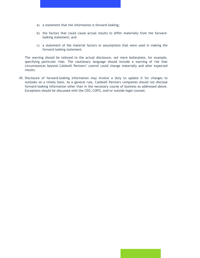- a) a statement that the information is forward looking;
- b) the factors that could cause actual results to differ materially from the forwardlooking statement; and
- c) a statement of the material factors or assumptions that were used in making the forward looking statement.

The warning should be tailored to the actual disclosure, not mere boilerplate, for example, specifying particular risks. The cautionary language should include a warning of risk that circumstances beyond Caldwell Partners' control could change materially and alter expected results.

45. Disclosure of forward-looking information may involve a duty to update it for changes to outlooks on a timely basis. As a general rule, Caldwell Partners companies should not disclose forward-looking information other than in the necessary course of business as addressed above. Exceptions should be discussed with the CEO, COFO, and/or outside legal counsel.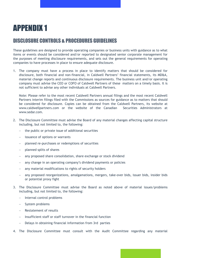### APPENDIX 1

#### DISCLOSURE CONTROLS & PROCEDURES GUIDELINES

These guidelines are designed to provide operating companies or business units with guidance as to what items or events should be considered and/or reported to designated senior corporate management for the purposes of meeting disclosure requirements, and sets out the general requirements for operating companies to have processes in place to ensure adequate disclosure.

1. The company must have a process in place to identify matters that should be considered for disclosure, both financial and non-financial, in Caldwell Partners' financial statements, its MD&A, material change reports and continuous disclosure requirements. The business unit and/or operating company must advise the CEO or COFO of Caldwell Partners of these matters on a timely basis. It is not sufficient to advise any other individuals at Caldwell Partners.

Note: Please refer to the most recent Caldwell Partners annual filings and the most recent Caldwell Partners interim filings filed with the Commissions as sources for guidance as to matters that should be considered for disclosure. Copies can be obtained from the Caldwell Partners, its website at www.caldwellpartners.com or the website of the Canadian Securities Administrators at www.sedar.com.

- 2. The Disclosure Committee must advise the Board of any material changes affecting capital structure including, but not limited to, the following:
	- − the public or private issue of additional securities
	- − issuance of options or warrants
	- planned re-purchases or redemptions of securities
	- − planned splits of shares
	- any proposed share consolidation, share exchange or stock dividend
	- any change in an operating company's dividend payments or policies
	- any material modifications to rights of security holders
	- any proposed reorganizations, amalgamations, mergers, take-over bids, issuer bids, insider bids or potential proxy fight
- 3. The Disclosure Committee must advise the Board as noted above of material issues/problems including, but not limited to, the following:
	- − Internal control problems
	- − System problems
	- − Restatement of results
	- − Insufficient staff or staff turnover in the financial function
	- Delays in obtaining financial information from 3rd parties
- 4. The Disclosure Committee must consult with the Audit Committee regarding any material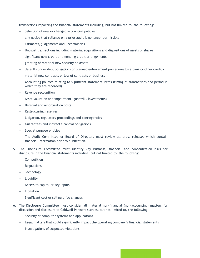transactions impacting the financial statements including, but not limited to, the following:

- Selection of new or changed accounting policies
- any notice that reliance on a prior audit is no longer permissible
- Estimates, judgements and uncertainties
- − Unusual transactions including material acquisitions and dispositions of assets or shares
- − significant new credit or amending credit arrangements
- granting of material new security on assets
- − defaults under debt obligations or planned enforcement procedures by a bank or other creditor
- material new contracts or loss of contracts or business
- − Accounting policies relating to significant statement items (timing of transactions and period in which they are recorded)
- − Revenue recognition
- − Asset valuation and impairment (goodwill, investments)
- − Deferral and amortization costs
- − Restructuring reserves
- − Litigation, regulatory proceedings and contingencies
- − Guarantees and indirect financial obligations
- − Special purpose entities
- − The Audit Committee or Board of Directors must review all press releases which contain financial information prior to publication.
- 5. The Disclosure Committee must identify key business, financial and concentration risks for disclosure in the financial statements including, but not limited to, the following:
	- − Competition
	- − Regulations
	- − Technology
	- − Liquidity
	- − Access to capital or key inputs
	- − Litigation
	- Significant cost or selling price changes
- 6. The Disclosure Committee must consider all material non-financial (non-accounting) matters for discussion and disclosure to Caldwell Partners such as, but not limited to, the following:
	- Security of computer systems and applications
	- Legal matters that could significantly impact the operating company's financial statements
	- − Investigations of suspected violations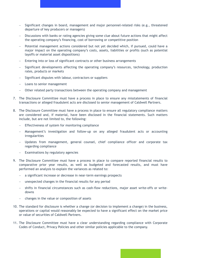- − Significant changes in board, management and major personnel-related risks (e.g., threatened departure of key producers or managers)
- − Discussions with banks or rating agencies giving some clue about future actions that might affect the operating company's financing, cost of borrowing or competitive position
- Potential management actions considered but not yet decided which, if pursued, could have a major impact on the operating company's costs, assets, liabilities or profits (such as potential layoffs or material asset dispositions)
- Entering into or loss of significant contracts or other business arrangements
- Significant developments affecting the operating company's resources, technology, production rates, products or markets
- − Significant disputes with labour, contractors or suppliers
- − Loans to senior management
- − Other related party transactions between the operating company and management
- 7. The Disclosure Committee must have a process in place to ensure any misstatements of financial transactions or alleged fraudulent acts are disclosed to senior management of Caldwell Partners.
- 8. The Disclosure Committee must have a process in place to ensure all regulatory compliance matters are considered and, if material, have been disclosed in the financial statements. Such matters include, but are not limited to, the following:
	- − Effectiveness of system for monitoring compliance
	- − Management's investigation and follow-up on any alleged fraudulent acts or accounting irregularities
	- − Updates from management, general counsel, chief compliance officer and corporate tax regarding compliance
	- − Examinations by regulatory agencies
- 9. The Disclosure Committee must have a process in place to compare reported financial results to comparative prior year results, as well as budgeted and forecasted results, and must have performed an analysis to explain the variances as related to:
	- a significant increase or decrease in near-term earnings prospects
	- − unexpected changes in the financial results for any period
	- − shifts in financial circumstances such as cash-flow reductions, major asset write-offs or writedowns
	- changes in the value or composition of assets
- 10. The standard for disclosure is whether a change (or decision to implement a change) in the business, operations or capital would reasonably be expected to have a significant effect on the market price or value of securities of Caldwell Partners.
- 11. The Disclosure Committee must have a clear understanding regarding compliance with Corporate Codes of Conduct, Privacy Policies and other similar policies applicable to the company.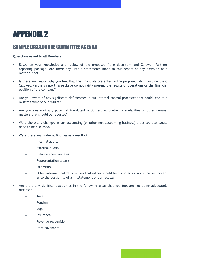### APPENDIX 2

#### SAMPLE DISCLOSURE COMMITTEE AGENDA

#### **Questions Asked to all Members**

- Based on your knowledge and review of the proposed filing document and Caldwell Partners reporting package, are there any untrue statements made in this report or any omission of a material fact?
- Is there any reason why you feel that the financials presented in the proposed filing document and Caldwell Partners reporting package do not fairly present the results of operations or the financial position of the company?
- Are you aware of any significant deficiencies in our internal control processes that could lead to a misstatement of our results?
- Are you aware of any potential fraudulent activities, accounting irregularities or other unusual matters that should be reported?
- Were there any changes in our accounting (or other non-accounting business) practices that would need to be disclosed?
- Were there any material findings as a result of:
	- − Internal audits
	- External audits
	- Balance sheet reviews
	- − Representation letters
	- Site visits
	- − Other internal control activities that either should be disclosed or would cause concern as to the possibility of a misstatement of our results?
- Are there any significant activities in the following areas that you feel are not being adequately disclosed:
	- − Taxes
	- Pension
	- − Legal
	- − Insurance
	- − Revenue recognition
	- Debt covenants